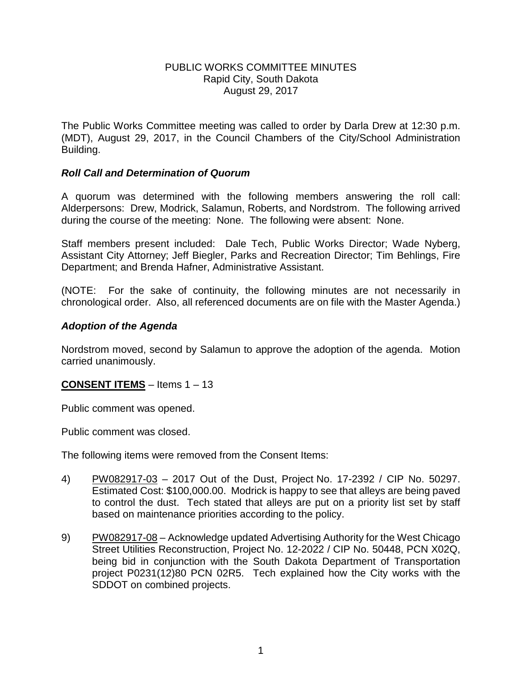## PUBLIC WORKS COMMITTEE MINUTES Rapid City, South Dakota August 29, 2017

The Public Works Committee meeting was called to order by Darla Drew at 12:30 p.m. (MDT), August 29, 2017, in the Council Chambers of the City/School Administration Building.

# *Roll Call and Determination of Quorum*

A quorum was determined with the following members answering the roll call: Alderpersons: Drew, Modrick, Salamun, Roberts, and Nordstrom. The following arrived during the course of the meeting: None. The following were absent: None.

Staff members present included: Dale Tech, Public Works Director; Wade Nyberg, Assistant City Attorney; Jeff Biegler, Parks and Recreation Director; Tim Behlings, Fire Department; and Brenda Hafner, Administrative Assistant.

(NOTE: For the sake of continuity, the following minutes are not necessarily in chronological order. Also, all referenced documents are on file with the Master Agenda.)

# *Adoption of the Agenda*

Nordstrom moved, second by Salamun to approve the adoption of the agenda. Motion carried unanimously.

# **CONSENT ITEMS** – Items 1 – 13

Public comment was opened.

Public comment was closed.

The following items were removed from the Consent Items:

- 4) PW082917-03 2017 Out of the Dust, Project No. 17-2392 / CIP No. 50297. Estimated Cost: \$100,000.00. Modrick is happy to see that alleys are being paved to control the dust. Tech stated that alleys are put on a priority list set by staff based on maintenance priorities according to the policy.
- 9) PW082917-08 Acknowledge updated Advertising Authority for the West Chicago Street Utilities Reconstruction, Project No. 12-2022 / CIP No. 50448, PCN X02Q, being bid in conjunction with the South Dakota Department of Transportation project P0231(12)80 PCN 02R5. Tech explained how the City works with the SDDOT on combined projects.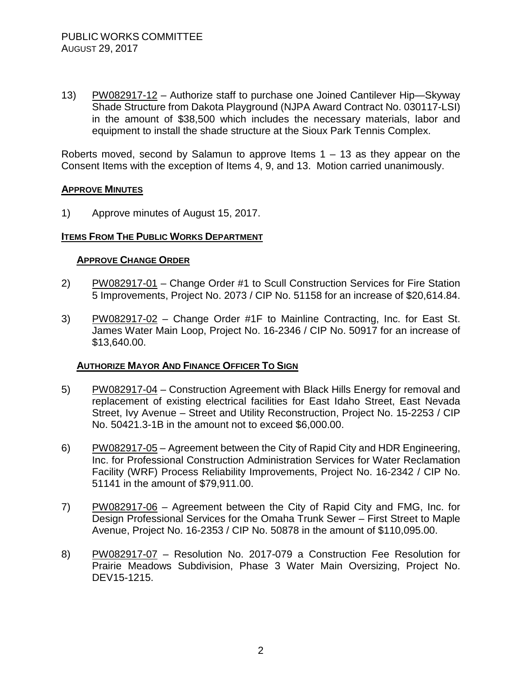13) PW082917-12 – Authorize staff to purchase one Joined Cantilever Hip—Skyway Shade Structure from Dakota Playground (NJPA Award Contract No. 030117-LSI) in the amount of \$38,500 which includes the necessary materials, labor and equipment to install the shade structure at the Sioux Park Tennis Complex.

Roberts moved, second by Salamun to approve Items  $1 - 13$  as they appear on the Consent Items with the exception of Items 4, 9, and 13. Motion carried unanimously.

## **APPROVE MINUTES**

1) Approve minutes of August 15, 2017.

## **ITEMS FROM THE PUBLIC WORKS DEPARTMENT**

## **APPROVE CHANGE ORDER**

- 2) PW082917-01 Change Order #1 to Scull Construction Services for Fire Station 5 Improvements, Project No. 2073 / CIP No. 51158 for an increase of \$20,614.84.
- 3) PW082917-02 Change Order #1F to Mainline Contracting, Inc. for East St. James Water Main Loop, Project No. 16-2346 / CIP No. 50917 for an increase of \$13,640.00.

## **AUTHORIZE MAYOR AND FINANCE OFFICER TO SIGN**

- 5) PW082917-04 Construction Agreement with Black Hills Energy for removal and replacement of existing electrical facilities for East Idaho Street, East Nevada Street, Ivy Avenue – Street and Utility Reconstruction, Project No. 15-2253 / CIP No. 50421.3-1B in the amount not to exceed \$6,000.00.
- 6) PW082917-05 Agreement between the City of Rapid City and HDR Engineering, Inc. for Professional Construction Administration Services for Water Reclamation Facility (WRF) Process Reliability Improvements, Project No. 16-2342 / CIP No. 51141 in the amount of \$79,911.00.
- 7) PW082917-06 Agreement between the City of Rapid City and FMG, Inc. for Design Professional Services for the Omaha Trunk Sewer – First Street to Maple Avenue, Project No. 16-2353 / CIP No. 50878 in the amount of \$110,095.00.
- 8) PW082917-07 Resolution No. 2017-079 a Construction Fee Resolution for Prairie Meadows Subdivision, Phase 3 Water Main Oversizing, Project No. DEV15-1215.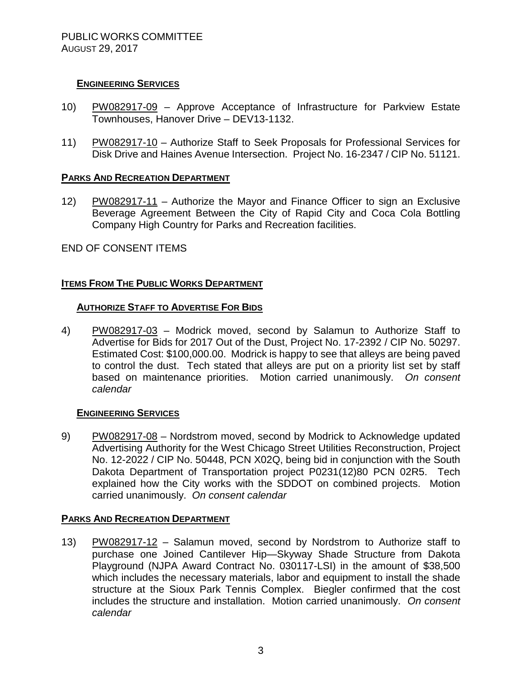# **ENGINEERING SERVICES**

- 10) PW082917-09 Approve Acceptance of Infrastructure for Parkview Estate Townhouses, Hanover Drive – DEV13-1132.
- 11) PW082917-10 Authorize Staff to Seek Proposals for Professional Services for Disk Drive and Haines Avenue Intersection. Project No. 16-2347 / CIP No. 51121.

## **PARKS AND RECREATION DEPARTMENT**

12) PW082917-11 – Authorize the Mayor and Finance Officer to sign an Exclusive Beverage Agreement Between the City of Rapid City and Coca Cola Bottling Company High Country for Parks and Recreation facilities.

END OF CONSENT ITEMS

# **ITEMS FROM THE PUBLIC WORKS DEPARTMENT**

## **AUTHORIZE STAFF TO ADVERTISE FOR BIDS**

4) PW082917-03 – Modrick moved, second by Salamun to Authorize Staff to Advertise for Bids for 2017 Out of the Dust, Project No. 17-2392 / CIP No. 50297. Estimated Cost: \$100,000.00. Modrick is happy to see that alleys are being paved to control the dust. Tech stated that alleys are put on a priority list set by staff based on maintenance priorities. Motion carried unanimously. *On consent calendar*

## **ENGINEERING SERVICES**

9) PW082917-08 – Nordstrom moved, second by Modrick to Acknowledge updated Advertising Authority for the West Chicago Street Utilities Reconstruction, Project No. 12-2022 / CIP No. 50448, PCN X02Q, being bid in conjunction with the South Dakota Department of Transportation project P0231(12)80 PCN 02R5. Tech explained how the City works with the SDDOT on combined projects. Motion carried unanimously. *On consent calendar*

## **PARKS AND RECREATION DEPARTMENT**

13) PW082917-12 – Salamun moved, second by Nordstrom to Authorize staff to purchase one Joined Cantilever Hip—Skyway Shade Structure from Dakota Playground (NJPA Award Contract No. 030117-LSI) in the amount of \$38,500 which includes the necessary materials, labor and equipment to install the shade structure at the Sioux Park Tennis Complex. Biegler confirmed that the cost includes the structure and installation. Motion carried unanimously. *On consent calendar*